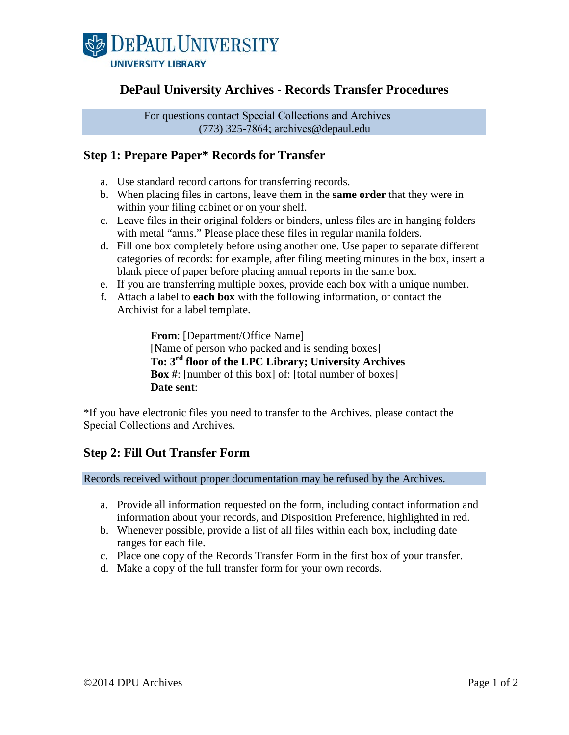

## **DePaul University Archives - Records Transfer Procedures**

For questions contact Special Collections and Archives (773) 325-7864; archives@depaul.edu

### **Step 1: Prepare Paper\* Records for Transfer**

- a. Use standard record cartons for transferring records.
- b. When placing files in cartons, leave them in the **same order** that they were in within your filing cabinet or on your shelf.
- c. Leave files in their original folders or binders, unless files are in hanging folders with metal "arms." Please place these files in regular manila folders.
- d. Fill one box completely before using another one. Use paper to separate different categories of records: for example, after filing meeting minutes in the box, insert a blank piece of paper before placing annual reports in the same box.
- e. If you are transferring multiple boxes, provide each box with a unique number.
- f. Attach a label to **each box** with the following information, or contact the Archivist for a label template.

**From**: [Department/Office Name] [Name of person who packed and is sending boxes] **To: 3rd floor of the LPC Library; University Archives Box #**: [number of this box] of: [total number of boxes] **Date sent**:

\*If you have electronic files you need to transfer to the Archives, please contact the Special Collections and Archives.

#### **Step 2: Fill Out Transfer Form**

Records received without proper documentation may be refused by the Archives.

- a. Provide all information requested on the form, including contact information and information about your records, and Disposition Preference, highlighted in red.
- b. Whenever possible, provide a list of all files within each box, including date ranges for each file.
- c. Place one copy of the Records Transfer Form in the first box of your transfer.
- d. Make a copy of the full transfer form for your own records.